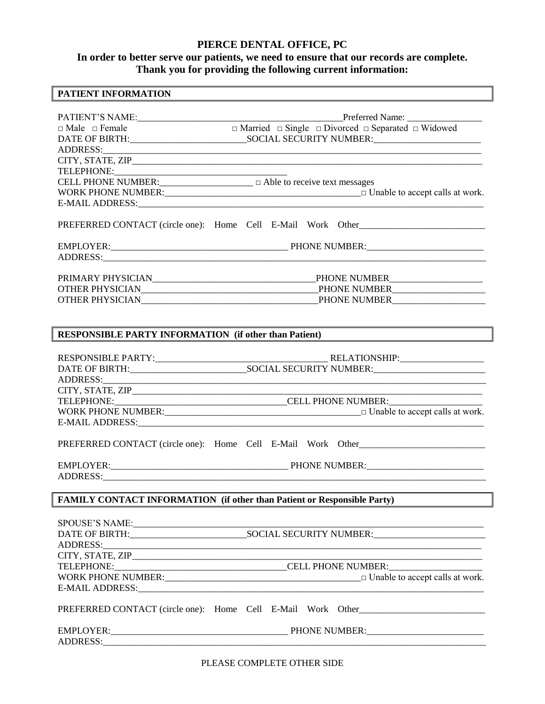# **PIERCE DENTAL OFFICE, PC**

## **In order to better serve our patients, we need to ensure that our records are complete. Thank you for providing the following current information:**

# **PATIENT INFORMATION**

|          | PATIENT'S NAME:<br><del>□ Married</del> □ Single □ Divorced □ Separated □ Widowed<br>□ Married □ Single □ Divorced □ Separated □ Widowed                                                       |
|----------|------------------------------------------------------------------------------------------------------------------------------------------------------------------------------------------------|
|          |                                                                                                                                                                                                |
|          | ADDRESS: ANDRESS:                                                                                                                                                                              |
|          |                                                                                                                                                                                                |
|          |                                                                                                                                                                                                |
|          | CELL PHONE NUMBER:<br><u> </u> $\Box$ Able to receive text messages                                                                                                                            |
|          |                                                                                                                                                                                                |
|          |                                                                                                                                                                                                |
|          | PREFERRED CONTACT (circle one): Home Cell E-Mail Work Other                                                                                                                                    |
|          |                                                                                                                                                                                                |
|          |                                                                                                                                                                                                |
|          |                                                                                                                                                                                                |
|          |                                                                                                                                                                                                |
|          |                                                                                                                                                                                                |
|          |                                                                                                                                                                                                |
|          |                                                                                                                                                                                                |
|          | <b>RESPONSIBLE PARTY INFORMATION (if other than Patient)</b>                                                                                                                                   |
|          |                                                                                                                                                                                                |
|          |                                                                                                                                                                                                |
|          |                                                                                                                                                                                                |
|          |                                                                                                                                                                                                |
|          |                                                                                                                                                                                                |
|          |                                                                                                                                                                                                |
|          |                                                                                                                                                                                                |
|          |                                                                                                                                                                                                |
|          |                                                                                                                                                                                                |
|          |                                                                                                                                                                                                |
|          |                                                                                                                                                                                                |
|          |                                                                                                                                                                                                |
|          | <b>FAMILY CONTACT INFORMATION (if other than Patient or Responsible Party)</b>                                                                                                                 |
|          |                                                                                                                                                                                                |
|          |                                                                                                                                                                                                |
|          |                                                                                                                                                                                                |
| ADDRESS: | <u> 2000 - 2000 - 2000 - 2000 - 2000 - 2000 - 2000 - 2000 - 2000 - 2000 - 2000 - 2000 - 2000 - 2000 - 2000 - 200</u>                                                                           |
|          |                                                                                                                                                                                                |
|          |                                                                                                                                                                                                |
|          |                                                                                                                                                                                                |
|          |                                                                                                                                                                                                |
|          | PREFERRED CONTACT (circle one): Home Cell E-Mail Work Other<br>WORK PHONE NUMBER: $\Box$ $\Box$ Unable to accept calls at work.<br>PREFERRED CONTACT (circle one): Home Cell E-Mail Work Other |

PLEASE COMPLETE OTHER SIDE